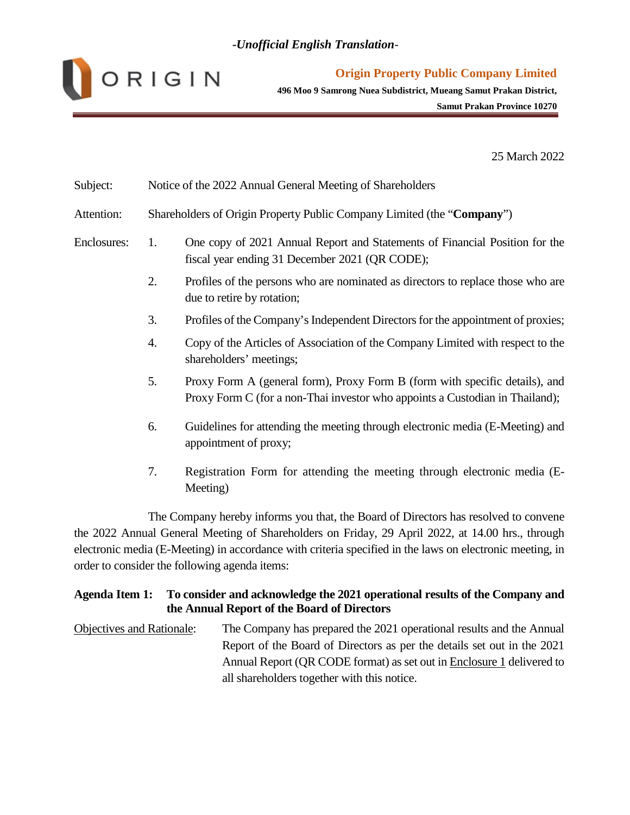

**496 Moo 9 Samrong Nuea Subdistrict, Mueang Samut Prakan District,**

**Samut Prakan Province 10270**

25 March 2022

| Subject:    | Notice of the 2022 Annual General Meeting of Shareholders              |                                                                                                                                                             |  |  |
|-------------|------------------------------------------------------------------------|-------------------------------------------------------------------------------------------------------------------------------------------------------------|--|--|
| Attention:  | Shareholders of Origin Property Public Company Limited (the "Company") |                                                                                                                                                             |  |  |
| Enclosures: | 1.                                                                     | One copy of 2021 Annual Report and Statements of Financial Position for the<br>fiscal year ending 31 December 2021 (QR CODE);                               |  |  |
|             | 2.                                                                     | Profiles of the persons who are nominated as directors to replace those who are<br>due to retire by rotation;                                               |  |  |
|             | 3.                                                                     | Profiles of the Company's Independent Directors for the appointment of proxies;                                                                             |  |  |
|             | 4.                                                                     | Copy of the Articles of Association of the Company Limited with respect to the<br>shareholders' meetings;                                                   |  |  |
|             | 5.                                                                     | Proxy Form A (general form), Proxy Form B (form with specific details), and<br>Proxy Form C (for a non-Thai investor who appoints a Custodian in Thailand); |  |  |
|             | 6.                                                                     | Guidelines for attending the meeting through electronic media (E-Meeting) and<br>appointment of proxy;                                                      |  |  |
|             | 7.                                                                     | Registration Form for attending the meeting through electronic media (E-<br>Meeting)                                                                        |  |  |

The Company hereby informs you that, the Board of Directors has resolved to convene the 2022 Annual General Meeting of Shareholders on Friday, 29 April 2022, at 14.00 hrs., through electronic media (E-Meeting) in accordance with criteria specified in the laws on electronic meeting, in order to consider the following agenda items:

## **Agenda Item 1: To consider and acknowledge the 2021 operational results of the Company and the Annual Report of the Board of Directors**

Objectives and Rationale: The Company has prepared the 2021 operational results and the Annual Report of the Board of Directors as per the details set out in the 2021 Annual Report (QR CODE format) as set out in Enclosure 1 delivered to all shareholders together with this notice.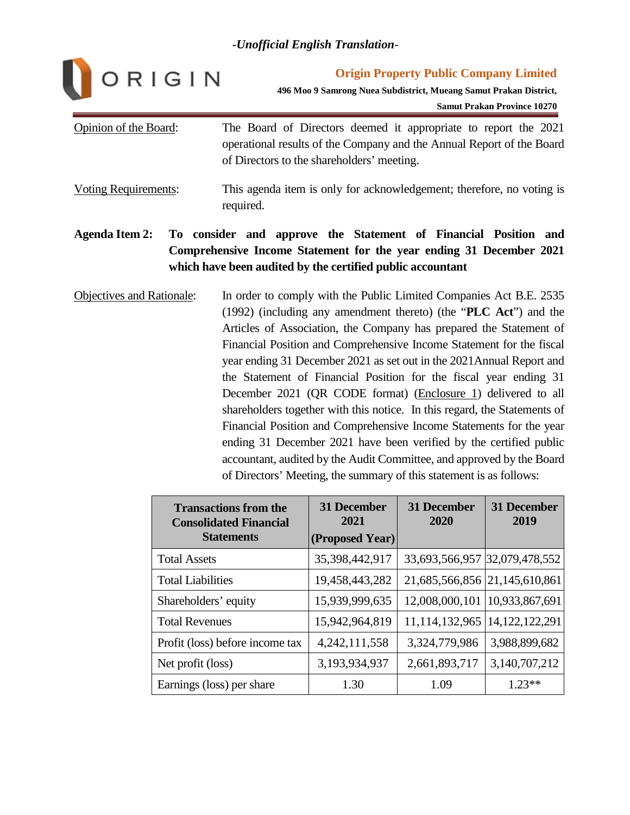

**Origin Property Public Company Limited**

**496 Moo 9 Samrong Nuea Subdistrict, Mueang Samut Prakan District,**

**Samut Prakan Province 10270**

| Opinion of the Board: | The Board of Directors deemed it appropriate to report the 2021<br>operational results of the Company and the Annual Report of the Board<br>of Directors to the shareholders' meeting. |
|-----------------------|----------------------------------------------------------------------------------------------------------------------------------------------------------------------------------------|
| Voting Requirements:  | This agenda item is only for acknowledgement; therefore, no voting is<br>required.                                                                                                     |

# **Agenda Item 2: To consider and approve the Statement of Financial Position and Comprehensive Income Statement for the year ending 31 December 2021 which have been audited by the certified public accountant**

Objectives and Rationale: In order to comply with the Public Limited Companies Act B.E. 2535 (1992) (including any amendment thereto) (the "**PLC Act**") and the Articles of Association, the Company has prepared the Statement of Financial Position and Comprehensive Income Statement for the fiscal year ending 31 December 2021 as set out in the 2021Annual Report and the Statement of Financial Position for the fiscal year ending 31 December 2021 (QR CODE format) (Enclosure 1) delivered to all shareholders together with this notice. In this regard, the Statements of Financial Position and Comprehensive Income Statements for the year ending 31 December 2021 have been verified by the certified public accountant, audited by the Audit Committee, and approved by the Board of Directors' Meeting, the summary of this statement is as follows:

| <b>Transactions from the</b><br><b>Consolidated Financial</b><br><b>Statements</b> | <b>31 December</b><br>2021<br>(Proposed Year) | <b>31 December</b><br>2020    | <b>31 December</b><br>2019 |  |
|------------------------------------------------------------------------------------|-----------------------------------------------|-------------------------------|----------------------------|--|
|                                                                                    |                                               |                               |                            |  |
| <b>Total Assets</b>                                                                | 35,398,442,917                                | 33,693,566,957 32,079,478,552 |                            |  |
| <b>Total Liabilities</b>                                                           | 19,458,443,282                                | 21,685,566,856 21,145,610,861 |                            |  |
| Shareholders' equity                                                               | 15,939,999,635                                | 12,008,000,101                | 10,933,867,691             |  |
| <b>Total Revenues</b>                                                              | 15,942,964,819                                | 11,114,132,965                | 14, 122, 122, 291          |  |
| Profit (loss) before income tax                                                    | 4, 242, 111, 558                              | 3,324,779,986                 | 3,988,899,682              |  |
| Net profit (loss)                                                                  | 3,193,934,937                                 | 2,661,893,717                 | 3,140,707,212              |  |
| Earnings (loss) per share                                                          | 1.30                                          | 1.09                          | $1.23**$                   |  |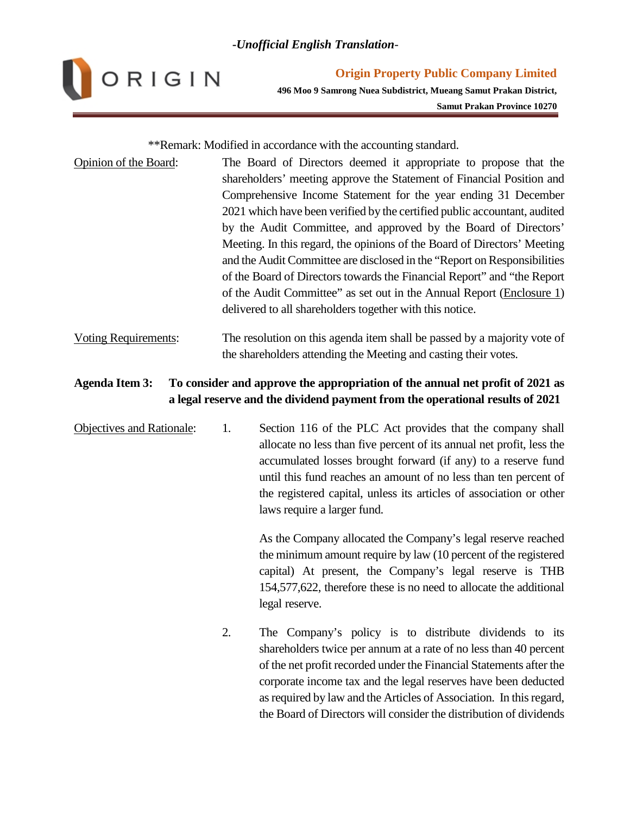

**Origin Property Public Company Limited 496 Moo 9 Samrong Nuea Subdistrict, Mueang Samut Prakan District, Samut Prakan Province 10270**

\*\*Remark: Modified in accordance with the accounting standard.

- Opinion of the Board: The Board of Directors deemed it appropriate to propose that the shareholders' meeting approve the Statement of Financial Position and Comprehensive Income Statement for the year ending 31 December 2021 which have been verified by the certified public accountant, audited by the Audit Committee, and approved by the Board of Directors' Meeting. In this regard, the opinions of the Board of Directors' Meeting and the Audit Committee are disclosed in the "Report on Responsibilities of the Board of Directors towards the Financial Report" and "the Report of the Audit Committee" as set out in the Annual Report (Enclosure 1) delivered to all shareholders together with this notice.
- Voting Requirements: The resolution on this agenda item shall be passed by a majority vote of the shareholders attending the Meeting and casting their votes.

## **Agenda Item 3: To consider and approve the appropriation of the annual net profit of 2021 as a legal reserve and the dividend payment from the operational results of 2021**

Objectives and Rationale: 1. Section 116 of the PLC Act provides that the company shall allocate no less than five percent of its annual net profit, less the accumulated losses brought forward (if any) to a reserve fund until this fund reaches an amount of no less than ten percent of the registered capital, unless its articles of association or other laws require a larger fund.

> As the Company allocated the Company's legal reserve reached the minimum amount require by law (10 percent of the registered capital) At present, the Company's legal reserve is THB 154,577,622, therefore these is no need to allocate the additional legal reserve.

2. The Company's policy is to distribute dividends to its shareholders twice per annum at a rate of no less than 40 percent of the net profit recorded under the Financial Statements after the corporate income tax and the legal reserves have been deducted as required by law and the Articles of Association. In this regard, the Board of Directors will consider the distribution of dividends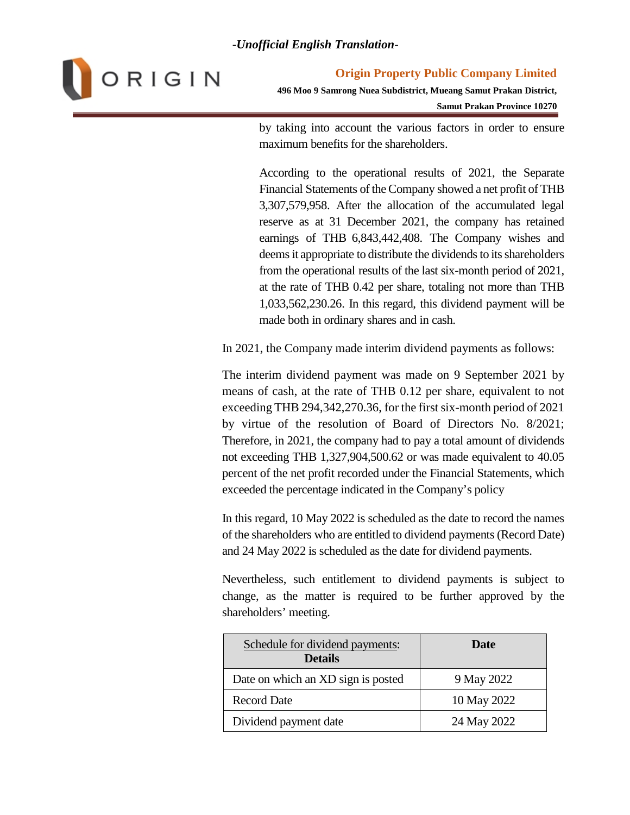

**496 Moo 9 Samrong Nuea Subdistrict, Mueang Samut Prakan District, Samut Prakan Province 10270**

by taking into account the various factors in order to ensure maximum benefits for the shareholders.

According to the operational results of 2021, the Separate Financial Statements of the Company showed a net profit of THB 3,307,579,958. After the allocation of the accumulated legal reserve as at 31 December 2021, the company has retained earnings of THB 6,843,442,408. The Company wishes and deems it appropriate to distribute the dividends to its shareholders from the operational results of the last six-month period of 2021, at the rate of THB 0.42 per share, totaling not more than THB 1,033,562,230.26. In this regard, this dividend payment will be made both in ordinary shares and in cash.

In 2021, the Company made interim dividend payments as follows:

The interim dividend payment was made on 9 September 2021 by means of cash, at the rate of THB 0.12 per share, equivalent to not exceeding THB 294,342,270.36, for the first six-month period of 2021 by virtue of the resolution of Board of Directors No. 8/2021; Therefore, in 2021, the company had to pay a total amount of dividends not exceeding THB 1,327,904,500.62 or was made equivalent to 40.05 percent of the net profit recorded under the Financial Statements, which exceeded the percentage indicated in the Company's policy

In this regard, 10 May 2022 is scheduled as the date to record the names of the shareholders who are entitled to dividend payments (Record Date) and 24 May 2022 is scheduled as the date for dividend payments.

Nevertheless, such entitlement to dividend payments is subject to change, as the matter is required to be further approved by the shareholders' meeting.

| Schedule for dividend payments:<br><b>Details</b> | Date        |
|---------------------------------------------------|-------------|
| Date on which an XD sign is posted                | 9 May 2022  |
| <b>Record Date</b>                                | 10 May 2022 |
| Dividend payment date                             | 24 May 2022 |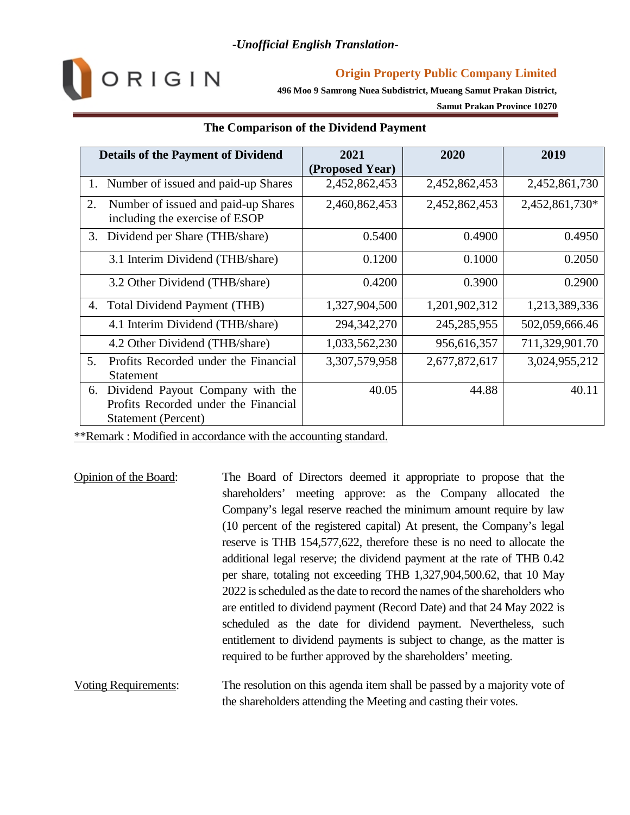

## **Origin Property Public Company Limited**

**496 Moo 9 Samrong Nuea Subdistrict, Mueang Samut Prakan District,**

**Samut Prakan Province 10270**

| <b>Details of the Payment of Dividend</b>                                                                    | 2021            | 2020          | 2019           |
|--------------------------------------------------------------------------------------------------------------|-----------------|---------------|----------------|
|                                                                                                              | (Proposed Year) |               |                |
| Number of issued and paid-up Shares<br>1.                                                                    | 2,452,862,453   | 2,452,862,453 | 2,452,861,730  |
| 2.<br>Number of issued and paid-up Shares<br>including the exercise of ESOP                                  | 2,460,862,453   | 2,452,862,453 | 2,452,861,730* |
| Dividend per Share (THB/share)<br>3.                                                                         | 0.5400          | 0.4900        | 0.4950         |
| 3.1 Interim Dividend (THB/share)                                                                             | 0.1200          | 0.1000        | 0.2050         |
| 3.2 Other Dividend (THB/share)                                                                               | 0.4200          | 0.3900        | 0.2900         |
| Total Dividend Payment (THB)<br>4.                                                                           | 1,327,904,500   | 1,201,902,312 | 1,213,389,336  |
| 4.1 Interim Dividend (THB/share)                                                                             | 294,342,270     | 245, 285, 955 | 502,059,666.46 |
| 4.2 Other Dividend (THB/share)                                                                               | 1,033,562,230   | 956,616,357   | 711,329,901.70 |
| 5.<br>Profits Recorded under the Financial<br><b>Statement</b>                                               | 3,307,579,958   | 2,677,872,617 | 3,024,955,212  |
| Dividend Payout Company with the<br>6.<br>Profits Recorded under the Financial<br><b>Statement (Percent)</b> | 40.05           | 44.88         | 40.11          |

## **The Comparison of the Dividend Payment**

\*\*Remark : Modified in accordance with the accounting standard.

- Opinion of the Board: The Board of Directors deemed it appropriate to propose that the shareholders' meeting approve: as the Company allocated the Company's legal reserve reached the minimum amount require by law (10 percent of the registered capital) At present, the Company's legal reserve is THB 154,577,622, therefore these is no need to allocate the additional legal reserve; the dividend payment at the rate of THB 0.42 per share, totaling not exceeding THB 1,327,904,500.62, that 10 May 2022 is scheduled as the date to record the names of the shareholders who are entitled to dividend payment (Record Date) and that 24 May 2022 is scheduled as the date for dividend payment. Nevertheless, such entitlement to dividend payments is subject to change, as the matter is required to be further approved by the shareholders' meeting.
- Voting Requirements: The resolution on this agenda item shall be passed by a majority vote of the shareholders attending the Meeting and casting their votes.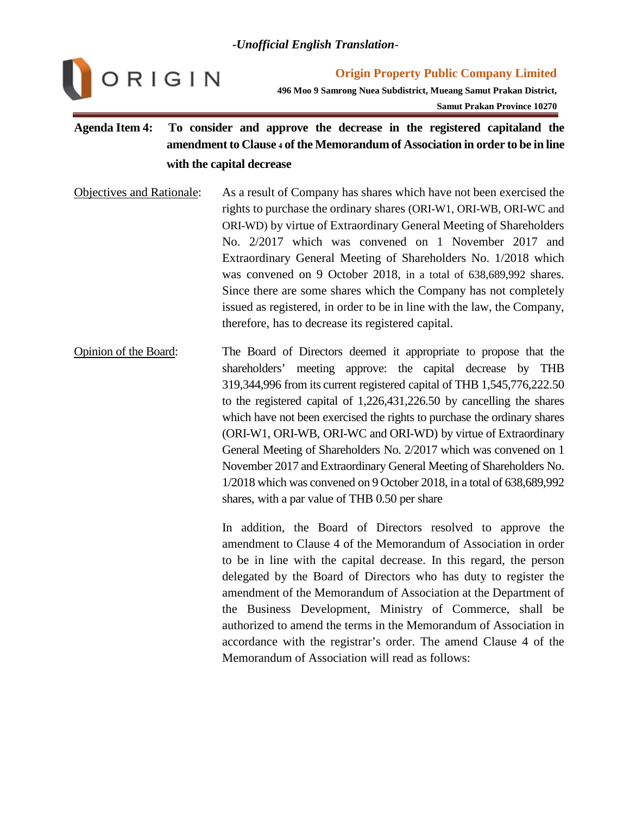

**Origin Property Public Company Limited**

**496 Moo 9 Samrong Nuea Subdistrict, Mueang Samut Prakan District,**

**Samut Prakan Province 10270**

# **Agenda Item 4: To consider and approve the decrease in the registered capitaland the amendment to Clause 4 of the Memorandum of Association in order to be in line with the capital decrease**

- Objectives and Rationale: As a result of Company has shares which have not been exercised the rights to purchase the ordinary shares (ORI-W1, ORI-WB, ORI-WC and ORI-WD) by virtue of Extraordinary General Meeting of Shareholders No. 2/2017 which was convened on 1 November 2017 and Extraordinary General Meeting of Shareholders No. 1/2018 which was convened on 9 October 2018, in a total of 638,689,992 shares. Since there are some shares which the Company has not completely issued as registered, in order to be in line with the law, the Company, therefore, has to decrease its registered capital.
- Opinion of the Board: The Board of Directors deemed it appropriate to propose that the shareholders' meeting approve: the capital decrease by THB 319,344,996 from its current registered capital of THB 1,545,776,222.50 to the registered capital of 1,226,431,226.50 by cancelling the shares which have not been exercised the rights to purchase the ordinary shares (ORI-W1, ORI-WB, ORI-WC and ORI-WD) by virtue of Extraordinary General Meeting of Shareholders No. 2/2017 which was convened on 1 November 2017 and Extraordinary General Meeting of Shareholders No. 1/2018 which was convened on 9 October 2018, in a total of 638,689,992 shares, with a par value of THB 0.50 per share

In addition, the Board of Directors resolved to approve the amendment to Clause 4 of the Memorandum of Association in order to be in line with the capital decrease. In this regard, the person delegated by the Board of Directors who has duty to register the amendment of the Memorandum of Association at the Department of the Business Development, Ministry of Commerce, shall be authorized to amend the terms in the Memorandum of Association in accordance with the registrar's order. The amend Clause 4 of the Memorandum of Association will read as follows: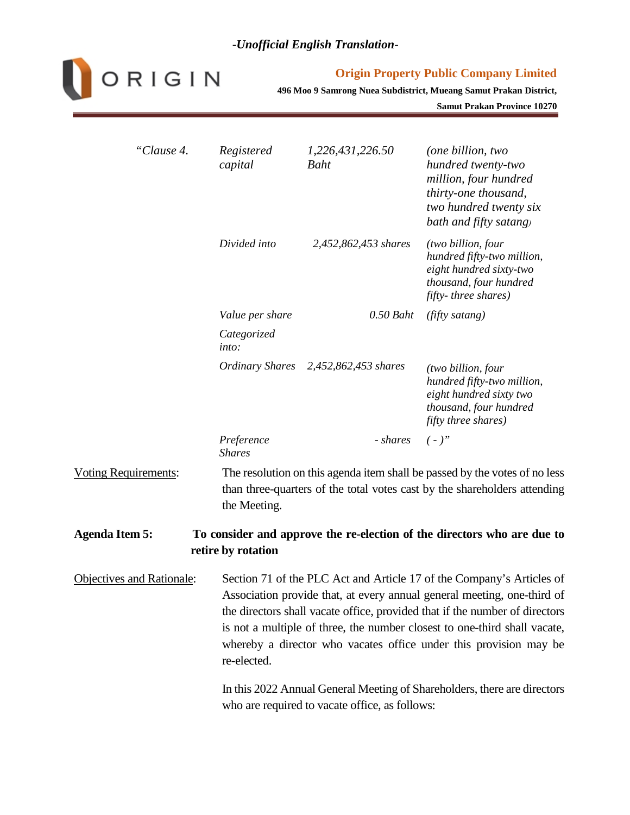

#### **Origin Property Public Company Limited**

**496 Moo 9 Samrong Nuea Subdistrict, Mueang Samut Prakan District,**

**Samut Prakan Province 10270**

| "Clause 4.                       | Registered<br>capital                                                                                                      | 1,226,431,226.50<br>Baht             | (one billion, two<br>hundred twenty-two<br>million, four hundred<br>thirty-one thousand,<br>two hundred twenty six<br>bath and fifty satang)                                                                                                                                                                                                                                      |  |  |
|----------------------------------|----------------------------------------------------------------------------------------------------------------------------|--------------------------------------|-----------------------------------------------------------------------------------------------------------------------------------------------------------------------------------------------------------------------------------------------------------------------------------------------------------------------------------------------------------------------------------|--|--|
|                                  | Divided into                                                                                                               | 2,452,862,453 shares                 | (two billion, four<br>hundred fifty-two million,<br>eight hundred sixty-two<br>thousand, four hundred<br>fifty-three shares)                                                                                                                                                                                                                                                      |  |  |
|                                  | Value per share<br>Categorized                                                                                             | $0.50$ Baht                          | (fifty satang)                                                                                                                                                                                                                                                                                                                                                                    |  |  |
|                                  | into:                                                                                                                      |                                      |                                                                                                                                                                                                                                                                                                                                                                                   |  |  |
|                                  |                                                                                                                            | Ordinary Shares 2,452,862,453 shares | (two billion, four<br>hundred fifty-two million,<br>eight hundred sixty two<br>thousand, four hundred<br>fifty three shares)                                                                                                                                                                                                                                                      |  |  |
|                                  | Preference<br><b>Shares</b>                                                                                                | - shares                             | $( - )$ "                                                                                                                                                                                                                                                                                                                                                                         |  |  |
| Voting Requirements:             | the Meeting.                                                                                                               |                                      | The resolution on this agenda item shall be passed by the votes of no less<br>than three-quarters of the total votes cast by the shareholders attending                                                                                                                                                                                                                           |  |  |
| <b>Agenda Item 5:</b>            | retire by rotation                                                                                                         |                                      | To consider and approve the re-election of the directors who are due to                                                                                                                                                                                                                                                                                                           |  |  |
| <b>Objectives and Rationale:</b> | re-elected.                                                                                                                |                                      | Section 71 of the PLC Act and Article 17 of the Company's Articles of<br>Association provide that, at every annual general meeting, one-third of<br>the directors shall vacate office, provided that if the number of directors<br>is not a multiple of three, the number closest to one-third shall vacate,<br>whereby a director who vacates office under this provision may be |  |  |
|                                  | In this 2022 Annual General Meeting of Shareholders, there are directors<br>who are required to vacate office, as follows: |                                      |                                                                                                                                                                                                                                                                                                                                                                                   |  |  |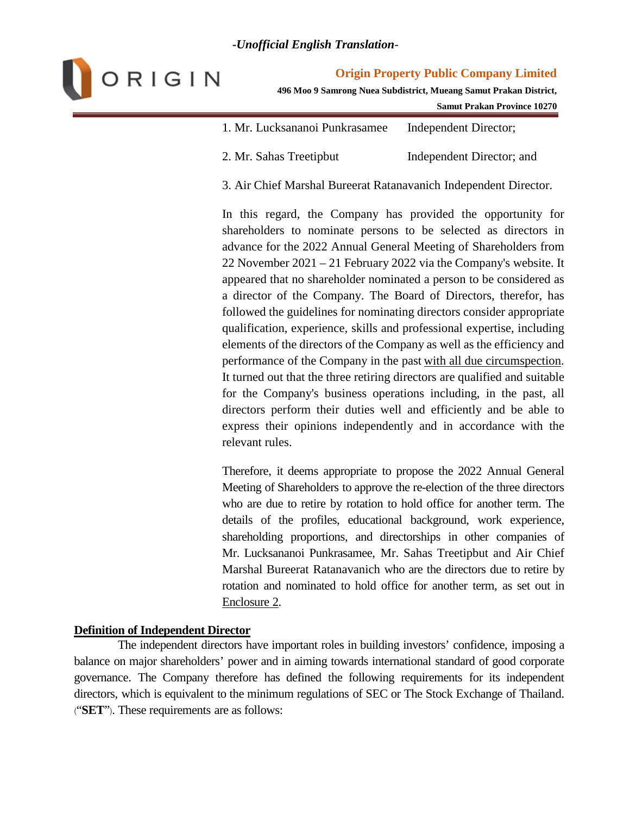

#### **Origin Property Public Company Limited**

**496 Moo 9 Samrong Nuea Subdistrict, Mueang Samut Prakan District,**

**Samut Prakan Province 10270**

| 1. Mr. Lucksananoi Punkrasamee | Independent Director;     |
|--------------------------------|---------------------------|
| 2. Mr. Sahas Treetipbut        | Independent Director; and |

3. Air Chief Marshal Bureerat Ratanavanich Independent Director.

In this regard, the Company has provided the opportunity for shareholders to nominate persons to be selected as directors in advance for the 2022 Annual General Meeting of Shareholders from 22 November 2021 – 21 February 2022 via the Company's website. It appeared that no shareholder nominated a person to be considered as a director of the Company. The Board of Directors, therefor, has followed the guidelines for nominating directors consider appropriate qualification, experience, skills and professional expertise, including elements of the directors of the Company as well as the efficiency and performance of the Company in the past with all due circumspection. It turned out that the three retiring directors are qualified and suitable for the Company's business operations including, in the past, all directors perform their duties well and efficiently and be able to express their opinions independently and in accordance with the relevant rules.

Therefore, it deems appropriate to propose the 2022 Annual General Meeting of Shareholders to approve the re-election of the three directors who are due to retire by rotation to hold office for another term. The details of the profiles, educational background, work experience, shareholding proportions, and directorships in other companies of Mr. Lucksananoi Punkrasamee, Mr. Sahas Treetipbut and Air Chief Marshal Bureerat Ratanavanich who are the directors due to retire by rotation and nominated to hold office for another term, as set out in Enclosure 2.

#### **Definition of Independent Director**

The independent directors have important roles in building investors' confidence, imposing a balance on major shareholders' power and in aiming towards international standard of good corporate governance. The Company therefore has defined the following requirements for its independent directors, which is equivalent to the minimum regulations of SEC or The Stock Exchange of Thailand. ("**SET**"). These requirements are as follows: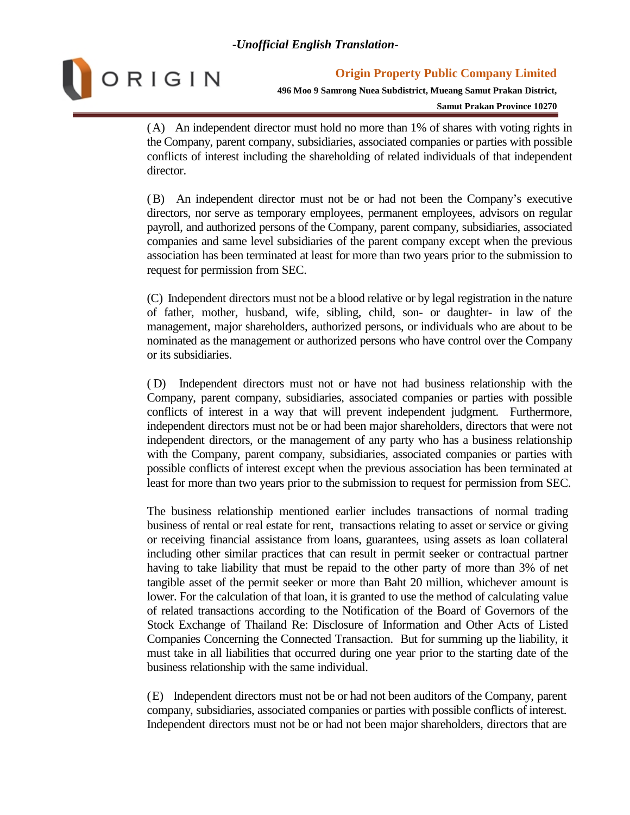

**496 Moo 9 Samrong Nuea Subdistrict, Mueang Samut Prakan District,**

**Samut Prakan Province 10270**

(A) An independent director must hold no more than 1% of shares with voting rights in the Company, parent company, subsidiaries, associated companies or parties with possible conflicts of interest including the shareholding of related individuals of that independent director.

(B) An independent director must not be or had not been the Company's executive directors, nor serve as temporary employees, permanent employees, advisors on regular payroll, and authorized persons of the Company, parent company, subsidiaries, associated companies and same level subsidiaries of the parent company except when the previous association has been terminated at least for more than two years prior to the submission to request for permission from SEC.

(C) Independent directors must not be a blood relative or by legal registration in the nature of father, mother, husband, wife, sibling, child, son- or daughter- in law of the management, major shareholders, authorized persons, or individuals who are about to be nominated as the management or authorized persons who have control over the Company or its subsidiaries.

( D) Independent directors must not or have not had business relationship with the Company, parent company, subsidiaries, associated companies or parties with possible conflicts of interest in a way that will prevent independent judgment. Furthermore, independent directors must not be or had been major shareholders, directors that were not independent directors, or the management of any party who has a business relationship with the Company, parent company, subsidiaries, associated companies or parties with possible conflicts of interest except when the previous association has been terminated at least for more than two years prior to the submission to request for permission from SEC.

The business relationship mentioned earlier includes transactions of normal trading business of rental or real estate for rent, transactions relating to asset or service or giving or receiving financial assistance from loans, guarantees, using assets as loan collateral including other similar practices that can result in permit seeker or contractual partner having to take liability that must be repaid to the other party of more than 3% of net tangible asset of the permit seeker or more than Baht 20 million, whichever amount is lower. For the calculation of that loan, it is granted to use the method of calculating value of related transactions according to the Notification of the Board of Governors of the Stock Exchange of Thailand Re: Disclosure of Information and Other Acts of Listed Companies Concerning the Connected Transaction. But for summing up the liability, it must take in all liabilities that occurred during one year prior to the starting date of the business relationship with the same individual.

(E) Independent directors must not be or had not been auditors of the Company, parent company, subsidiaries, associated companies or parties with possible conflicts of interest. Independent directors must not be or had not been major shareholders, directors that are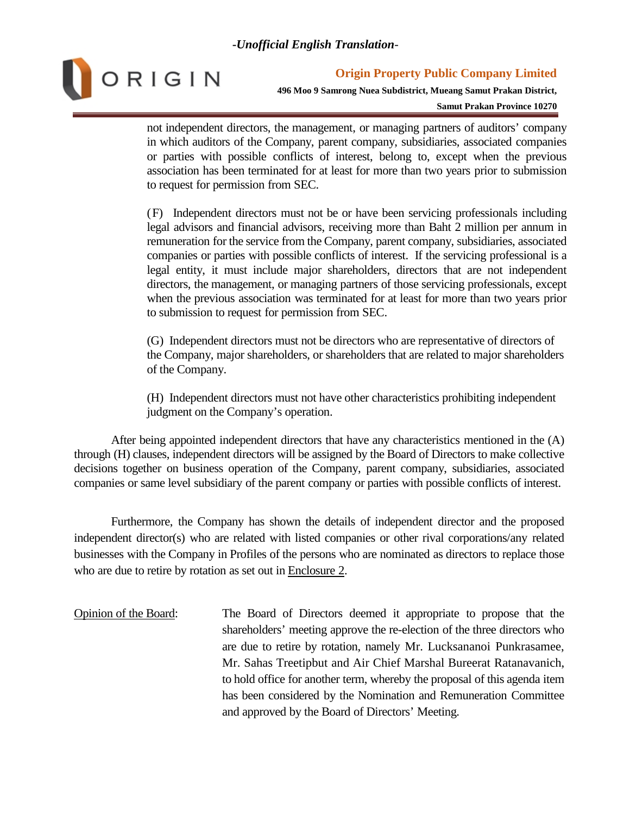

**496 Moo 9 Samrong Nuea Subdistrict, Mueang Samut Prakan District,**

**Samut Prakan Province 10270**

not independent directors, the management, or managing partners of auditors' company in which auditors of the Company, parent company, subsidiaries, associated companies or parties with possible conflicts of interest, belong to, except when the previous association has been terminated for at least for more than two years prior to submission to request for permission from SEC.

(F) Independent directors must not be or have been servicing professionals including legal advisors and financial advisors, receiving more than Baht 2 million per annum in remuneration for the service from the Company, parent company, subsidiaries, associated companies or parties with possible conflicts of interest. If the servicing professional is a legal entity, it must include major shareholders, directors that are not independent directors, the management, or managing partners of those servicing professionals, except when the previous association was terminated for at least for more than two years prior to submission to request for permission from SEC.

(G) Independent directors must not be directors who are representative of directors of the Company, major shareholders, or shareholders that are related to major shareholders of the Company.

(H) Independent directors must not have other characteristics prohibiting independent judgment on the Company's operation.

After being appointed independent directors that have any characteristics mentioned in the (A) through (H) clauses, independent directors will be assigned by the Board of Directors to make collective decisions together on business operation of the Company, parent company, subsidiaries, associated companies or same level subsidiary of the parent company or parties with possible conflicts of interest.

Furthermore, the Company has shown the details of independent director and the proposed independent director(s) who are related with listed companies or other rival corporations/any related businesses with the Company in Profiles of the persons who are nominated as directors to replace those who are due to retire by rotation as set out in Enclosure 2.

Opinion of the Board: The Board of Directors deemed it appropriate to propose that the shareholders' meeting approve the re-election of the three directors who are due to retire by rotation, namely Mr. Lucksananoi Punkrasamee, Mr. Sahas Treetipbut and Air Chief Marshal Bureerat Ratanavanich, to hold office for another term, whereby the proposal of this agenda item has been considered by the Nomination and Remuneration Committee and approved by the Board of Directors' Meeting.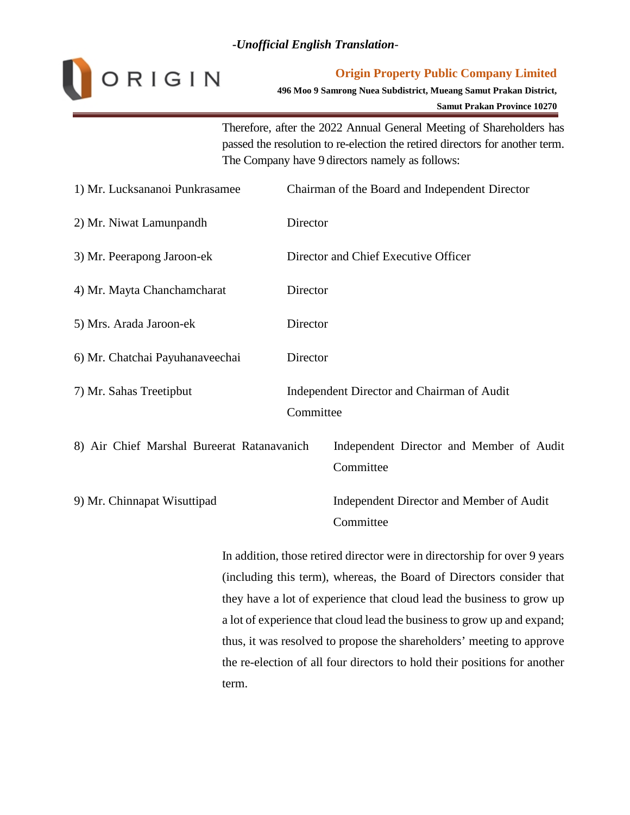

#### **Origin Property Public Company Limited**

**496 Moo 9 Samrong Nuea Subdistrict, Mueang Samut Prakan District,**

**Samut Prakan Province 10270**

Therefore, after the 2022 Annual General Meeting of Shareholders has passed the resolution to re-election the retired directors for another term. The Company have 9 directors namely as follows:

| 1) Mr. Lucksananoi Punkrasamee             | Chairman of the Board and Independent Director          |  |  |  |
|--------------------------------------------|---------------------------------------------------------|--|--|--|
| 2) Mr. Niwat Lamunpandh                    | Director                                                |  |  |  |
| 3) Mr. Peerapong Jaroon-ek                 | Director and Chief Executive Officer                    |  |  |  |
| 4) Mr. Mayta Chanchamcharat                | Director                                                |  |  |  |
| 5) Mrs. Arada Jaroon-ek                    | Director                                                |  |  |  |
| 6) Mr. Chatchai Payuhanaveechai            | Director                                                |  |  |  |
| 7) Mr. Sahas Treetipbut                    | Independent Director and Chairman of Audit<br>Committee |  |  |  |
| 8) Air Chief Marshal Bureerat Ratanavanich | Independent Director and Member of Audit<br>Committee   |  |  |  |
| 9) Mr. Chinnapat Wisuttipad                | Independent Director and Member of Audit<br>Committee   |  |  |  |

In addition, those retired director were in directorship for over 9 years (including this term), whereas, the Board of Directors consider that they have a lot of experience that cloud lead the business to grow up a lot of experience that cloud lead the business to grow up and expand; thus, it was resolved to propose the shareholders' meeting to approve the re-election of all four directors to hold their positions for another term.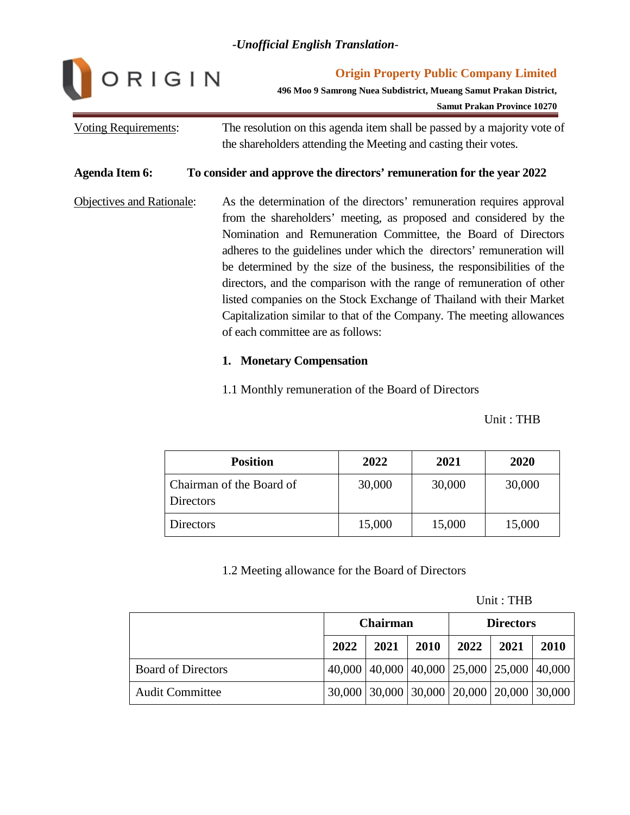

**Origin Property Public Company Limited**

**496 Moo 9 Samrong Nuea Subdistrict, Mueang Samut Prakan District,**

**Samut Prakan Province 10270**

# Voting Requirements: The resolution on this agenda item shall be passed by a majority vote of the shareholders attending the Meeting and casting their votes.

#### **Agenda Item 6: To consider and approve the directors' remuneration for the year 2022**

Objectives and Rationale: As the determination of the directors' remuneration requires approval from the shareholders' meeting, as proposed and considered by the Nomination and Remuneration Committee, the Board of Directors adheres to the guidelines under which the directors' remuneration will be determined by the size of the business, the responsibilities of the directors, and the comparison with the range of remuneration of other listed companies on the Stock Exchange of Thailand with their Market Capitalization similar to that of the Company. The meeting allowances of each committee are as follows:

#### **1. Monetary Compensation**

1.1 Monthly remuneration of the Board of Directors

Unit : THB

| <b>Position</b>                       | 2022   | 2021   | 2020   |
|---------------------------------------|--------|--------|--------|
| Chairman of the Board of<br>Directors | 30,000 | 30,000 | 30,000 |
| <b>Directors</b>                      | 15,000 | 15,000 | 15,000 |

## 1.2 Meeting allowance for the Board of Directors

Unit : THB

|                           | <b>Chairman</b> |                                                       |             | <b>Directors</b> |      |      |
|---------------------------|-----------------|-------------------------------------------------------|-------------|------------------|------|------|
|                           | 2022            | 2021                                                  | <b>2010</b> | $2022$           | 2021 | 2010 |
| <b>Board of Directors</b> |                 | 40,000   40,000   40,000   25,000   25,000   40,000   |             |                  |      |      |
| <b>Audit Committee</b>    |                 | $30,000$   30,000   30,000   20,000   20,000   30,000 |             |                  |      |      |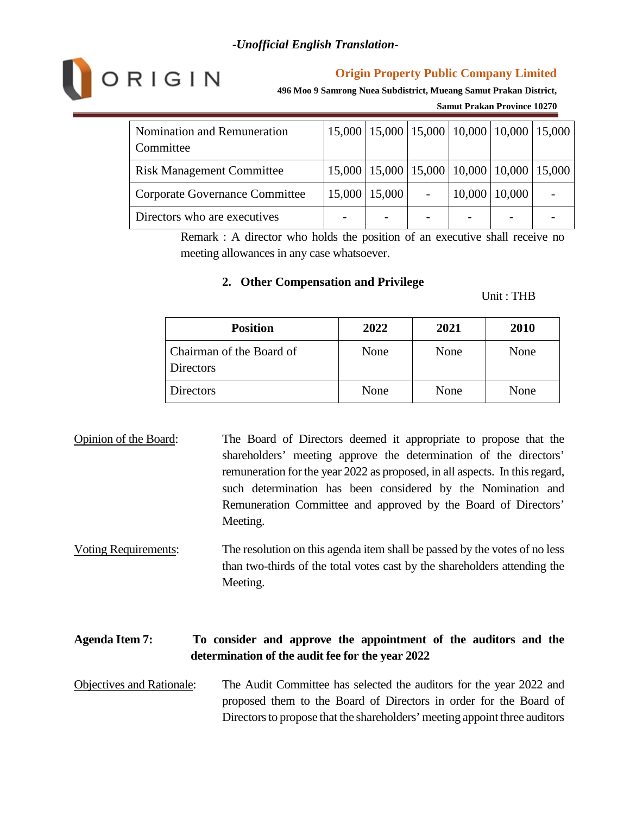

**496 Moo 9 Samrong Nuea Subdistrict, Mueang Samut Prakan District,**

**Samut Prakan Province 10270**

| Nomination and Remuneration<br>Committee |                     |        | 15,000   15,000   15,000   10,000   10,000   15,000 |  |
|------------------------------------------|---------------------|--------|-----------------------------------------------------|--|
| <b>Risk Management Committee</b>         |                     |        | 15,000   15,000   15,000   10,000   10,000   15,000 |  |
| Corporate Governance Committee           | $15,000$   $15,000$ | 10,000 | 10,000                                              |  |
| Directors who are executives             |                     |        |                                                     |  |

Remark : A director who holds the position of an executive shall receive no meeting allowances in any case whatsoever.

#### **2. Other Compensation and Privilege**

#### Unit : THB

| <b>Position</b>                       | 2022 | 2021 | 2010 |
|---------------------------------------|------|------|------|
| Chairman of the Board of<br>Directors | None | None | None |
| Directors                             | None | None | None |

- Opinion of the Board: The Board of Directors deemed it appropriate to propose that the shareholders' meeting approve the determination of the directors' remuneration for the year 2022 as proposed, in all aspects. In this regard, such determination has been considered by the Nomination and Remuneration Committee and approved by the Board of Directors' Meeting.
- Voting Requirements: The resolution on this agenda item shall be passed by the votes of no less than two-thirds of the total votes cast by the shareholders attending the Meeting.

# **Agenda Item 7: To consider and approve the appointment of the auditors and the determination of the audit fee for the year 2022**

Objectives and Rationale: The Audit Committee has selected the auditors for the year 2022 and proposed them to the Board of Directors in order for the Board of Directors to propose that the shareholders' meeting appoint three auditors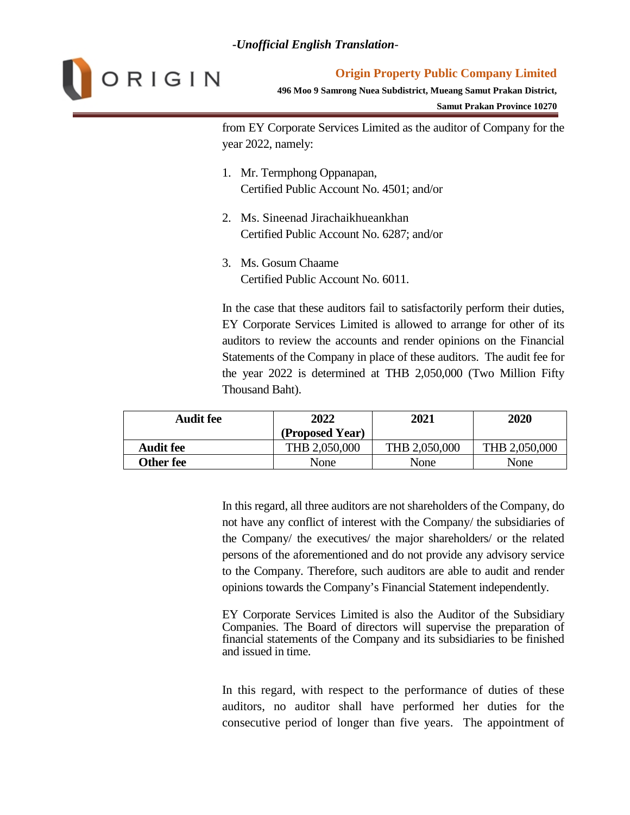

#### **Origin Property Public Company Limited**

**496 Moo 9 Samrong Nuea Subdistrict, Mueang Samut Prakan District,**

**Samut Prakan Province 10270**

from EY Corporate Services Limited as the auditor of Company for the year 2022, namely:

- 1. Mr. Termphong Oppanapan, Certified Public Account No. 4501; and/or
- 2. Ms. Sineenad Jirachaikhueankhan Certified Public Account No. 6287; and/or
- 3. Ms. Gosum Chaame Certified Public Account No. 6011.

In the case that these auditors fail to satisfactorily perform their duties, EY Corporate Services Limited is allowed to arrange for other of its auditors to review the accounts and render opinions on the Financial Statements of the Company in place of these auditors. The audit fee for the year 2022 is determined at THB 2,050,000 (Two Million Fifty Thousand Baht).

| <b>Audit fee</b> | 2022            | 2021          | 2020          |
|------------------|-----------------|---------------|---------------|
|                  | (Proposed Year) |               |               |
| <b>Audit fee</b> | THB 2,050,000   | THB 2,050,000 | THB 2,050,000 |
| Other fee        | None            | None          | None          |

In this regard, all three auditors are not shareholders of the Company, do not have any conflict of interest with the Company/ the subsidiaries of the Company/ the executives/ the major shareholders/ or the related persons of the aforementioned and do not provide any advisory service to the Company. Therefore, such auditors are able to audit and render opinions towards the Company's Financial Statement independently.

EY Corporate Services Limited is also the Auditor of the Subsidiary Companies. The Board of directors will supervise the preparation of financial statements of the Company and its subsidiaries to be finished and issued in time.

In this regard, with respect to the performance of duties of these auditors, no auditor shall have performed her duties for the consecutive period of longer than five years. The appointment of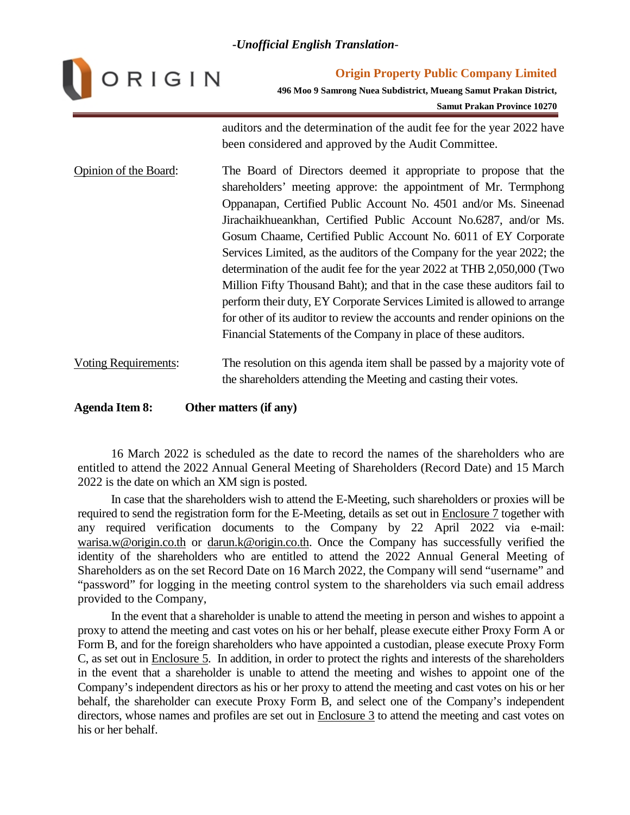

**Origin Property Public Company Limited 496 Moo 9 Samrong Nuea Subdistrict, Mueang Samut Prakan District,**

**Samut Prakan Province 10270**

auditors and the determination of the audit fee for the year 2022 have been considered and approved by the Audit Committee.

- Opinion of the Board: The Board of Directors deemed it appropriate to propose that the shareholders' meeting approve: the appointment of Mr. Termphong Oppanapan, Certified Public Account No. 4501 and/or Ms. Sineenad Jirachaikhueankhan, Certified Public Account No.6287, and/or Ms. Gosum Chaame, Certified Public Account No. 6011 of EY Corporate Services Limited, as the auditors of the Company for the year 2022; the determination of the audit fee for the year 2022 at THB 2,050,000 (Two Million Fifty Thousand Baht); and that in the case these auditors fail to perform their duty, EY Corporate Services Limited is allowed to arrange for other of its auditor to review the accounts and render opinions on the Financial Statements of the Company in place of these auditors.
- Voting Requirements: The resolution on this agenda item shall be passed by a majority vote of the shareholders attending the Meeting and casting their votes.

**Agenda Item 8: Other matters (if any)**

16 March 2022 is scheduled as the date to record the names of the shareholders who are entitled to attend the 2022 Annual General Meeting of Shareholders (Record Date) and 15 March 2022 is the date on which an XM sign is posted.

In case that the shareholders wish to attend the E-Meeting, such shareholders or proxies will be required to send the registration form for the E-Meeting, details as set out in Enclosure 7 together with any required verification documents to the Company by 22 April 2022 via e-mail: warisa.w@origin.co.th or darun.k@origin.co.th. Once the Company has successfully verified the identity of the shareholders who are entitled to attend the 2022 Annual General Meeting of Shareholders as on the set Record Date on 16 March 2022, the Company will send "username" and "password" for logging in the meeting control system to the shareholders via such email address provided to the Company,

In the event that a shareholder is unable to attend the meeting in person and wishes to appoint a proxy to attend the meeting and cast votes on his or her behalf, please execute either Proxy Form A or Form B, and for the foreign shareholders who have appointed a custodian, please execute Proxy Form C, as set out in Enclosure 5. In addition, in order to protect the rights and interests of the shareholders in the event that a shareholder is unable to attend the meeting and wishes to appoint one of the Company's independent directors as his or her proxy to attend the meeting and cast votes on his or her behalf, the shareholder can execute Proxy Form B, and select one of the Company's independent directors, whose names and profiles are set out in Enclosure 3 to attend the meeting and cast votes on his or her behalf.